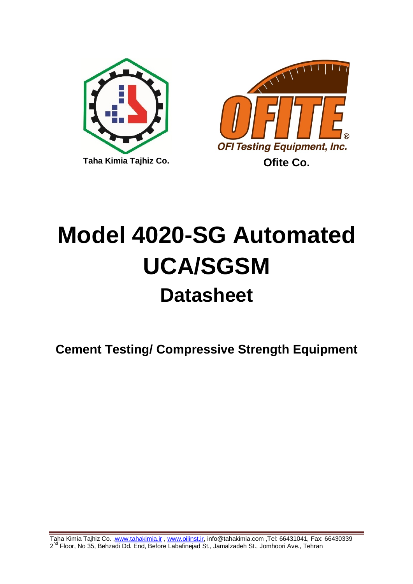



# **Model 4020-SG Automated UCA/SGSM Datasheet**

**Cement Testing/ Compressive Strength Equipment**

Taha Kimia Tajhiz Co. [,www.tahakimia.ir](http://www.tahakimia.ir/) , [www.oilinst.ir,](http://www.oilinst.ir/) info@tahakimia.com ,Tel: 66431041, Fax: 66430339 2<sup>nd</sup> Floor, No 35, Behzadi Dd. End, Before Labafinejad St., Jamalzadeh St., Jomhoori Ave., Tehran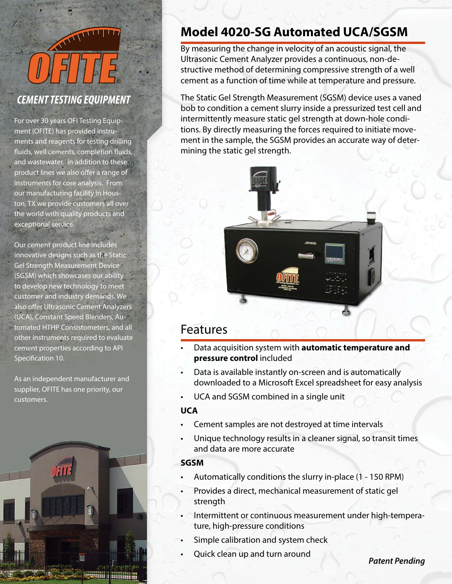

## *CEMENT TESTING EQUIPMENT*

For over 30 years OFI Testing Equipment (OFITE) has provided instruments and reagents for testing drilling fluids, well cements, completion fluids, and wastewater. In addition to these product lines we also offer a range of instruments for core analysis. From our manufacturing facility in Houston, TX we provide customers all over the world with quality products and exceptional service.

Our cement product line includes innovative designs such as the Static Gel Strength Measurement Device (SGSM) which showcases our ability to develop new technology to meet customer and industry demands. We also offer Ultrasonic Cement Analyzers (UCA), Constant Speed Blenders, Automated HTHP Consistometers, and all other instruments required to evaluate cement properties according to API Specification 10.

As an independent manufacturer and supplier, OFITE has one priority, our customers.



## **Model 4020-SG Automated UCA/SGSM**

By measuring the change in velocity of an acoustic signal, the Ultrasonic Cement Analyzer provides a continuous, non-destructive method of determining compressive strength of a well cement as a function of time while at temperature and pressure.

The Static Gel Strength Measurement (SGSM) device uses a vaned bob to condition a cement slurry inside a pressurized test cell and intermittently measure static gel strength at down-hole conditions. By directly measuring the forces required to initiate movement in the sample, the SGSM provides an accurate way of determining the static gel strength.



## Features

- Data acquisition system with **automatic temperature and pressure control** included
- Data is available instantly on-screen and is automatically downloaded to a Microsoft Excel spreadsheet for easy analysis
- UCA and SGSM combined in a single unit

#### **UCA**

- Cement samples are not destroyed at time intervals
- Unique technology results in a cleaner signal, so transit times and data are more accurate

### **SGSM**

- Automatically conditions the slurry in-place (1 150 RPM)
- Provides a direct, mechanical measurement of static gel strength
- Intermittent or continuous measurement under high-temperature, high-pressure conditions
- Simple calibration and system check
- Quick clean up and turn around

*Patent Pending*